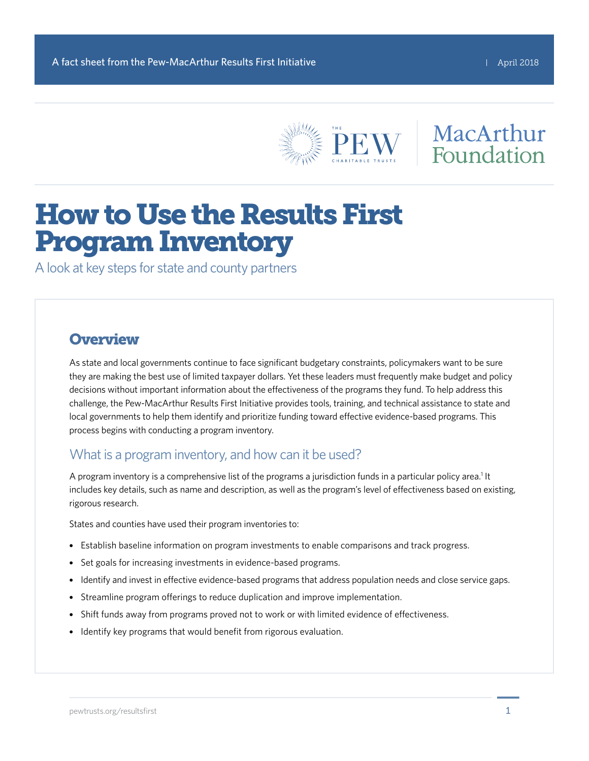

## MacArthur Foundation

# How to Use the Results First Program Inventory

A look at key steps for state and county partners

## **Overview**

As state and local governments continue to face significant budgetary constraints, policymakers want to be sure they are making the best use of limited taxpayer dollars. Yet these leaders must frequently make budget and policy decisions without important information about the effectiveness of the programs they fund. To help address this challenge, the Pew-MacArthur Results First Initiative provides tools, training, and technical assistance to state and local governments to help them identify and prioritize funding toward effective evidence-based programs. This process begins with conducting a program inventory.

## What is a program inventory, and how can it be used?

A program inventory is a comprehensive list of the programs a jurisdiction funds in a particular policy area.<sup>1</sup> It includes key details, such as name and description, as well as the program's level of effectiveness based on existing, rigorous research.

States and counties have used their program inventories to:

- Establish baseline information on program investments to enable comparisons and track progress.
- Set goals for increasing investments in evidence-based programs.
- Identify and invest in effective evidence-based programs that address population needs and close service gaps.
- Streamline program offerings to reduce duplication and improve implementation.
- Shift funds away from programs proved not to work or with limited evidence of effectiveness.
- Identify key programs that would benefit from rigorous evaluation.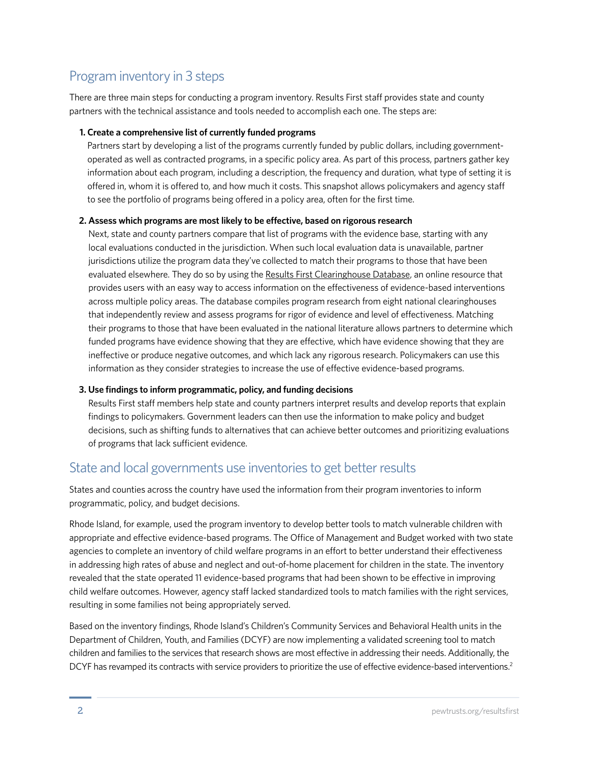## Program inventory in 3 steps

There are three main steps for conducting a program inventory. Results First staff provides state and county partners with the technical assistance and tools needed to accomplish each one. The steps are:

#### **1. Create a comprehensive list of currently funded programs**

Partners start by developing a list of the programs currently funded by public dollars, including governmentoperated as well as contracted programs, in a specific policy area. As part of this process, partners gather key information about each program, including a description, the frequency and duration, what type of setting it is offered in, whom it is offered to, and how much it costs. This snapshot allows policymakers and agency staff to see the portfolio of programs being offered in a policy area, often for the first time.

#### **2. Assess which programs are most likely to be effective, based on rigorous research**

Next, state and county partners compare that list of programs with the evidence base, starting with any local evaluations conducted in the jurisdiction. When such local evaluation data is unavailable, partner jurisdictions utilize the program data they've collected to match their programs to those that have been evaluated elsewhere. They do so by using the [Results First Clearinghouse Database](http://www.pewtrusts.org/en/research-and-analysis/issue-briefs/2014/09/results-first-clearinghouse-database), an online resource that provides users with an easy way to access information on the effectiveness of evidence-based interventions across multiple policy areas. The database compiles program research from eight national clearinghouses that independently review and assess programs for rigor of evidence and level of effectiveness. Matching their programs to those that have been evaluated in the national literature allows partners to determine which funded programs have evidence showing that they are effective, which have evidence showing that they are ineffective or produce negative outcomes, and which lack any rigorous research. Policymakers can use this information as they consider strategies to increase the use of effective evidence-based programs.

#### **3. Use findings to inform programmatic, policy, and funding decisions**

Results First staff members help state and county partners interpret results and develop reports that explain findings to policymakers. Government leaders can then use the information to make policy and budget decisions, such as shifting funds to alternatives that can achieve better outcomes and prioritizing evaluations of programs that lack sufficient evidence.

## State and local governments use inventories to get better results

States and counties across the country have used the information from their program inventories to inform programmatic, policy, and budget decisions.

Rhode Island, for example, used the program inventory to develop better tools to match vulnerable children with appropriate and effective evidence-based programs. The Office of Management and Budget worked with two state agencies to complete an inventory of child welfare programs in an effort to better understand their effectiveness in addressing high rates of abuse and neglect and out-of-home placement for children in the state. The inventory revealed that the state operated 11 evidence-based programs that had been shown to be effective in improving child welfare outcomes. However, agency staff lacked standardized tools to match families with the right services, resulting in some families not being appropriately served.

Based on the inventory findings, Rhode Island's Children's Community Services and Behavioral Health units in the Department of Children, Youth, and Families (DCYF) are now implementing a validated screening tool to match children and families to the services that research shows are most effective in addressing their needs. Additionally, the DCYF has revamped its contracts with service providers to prioritize the use of effective evidence-based interventions.<sup>2</sup>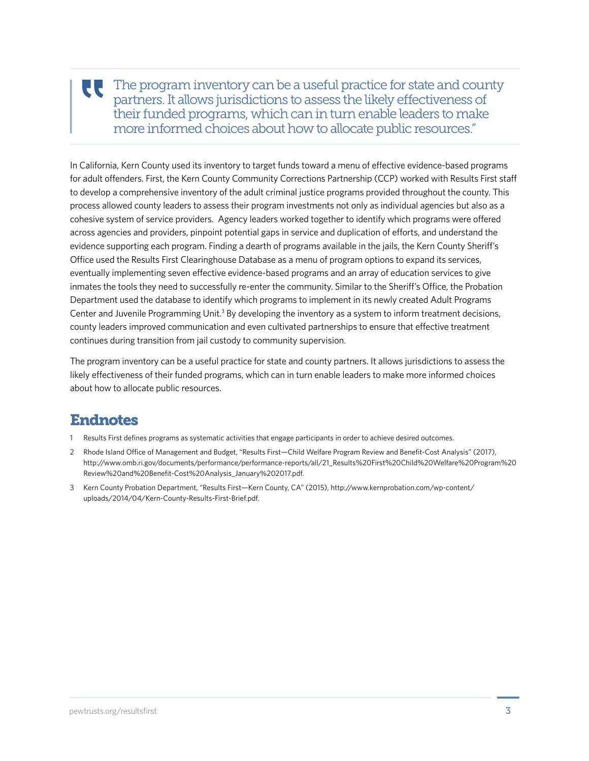#### The program inventory can be a useful practice for state and county UU. partners. It allows jurisdictions to assess the likely effectiveness of their funded programs, which can in turn enable leaders to make more informed choices about how to allocate public resources."

In California, Kern County used its inventory to target funds toward a menu of effective evidence-based programs for adult offenders. First, the Kern County Community Corrections Partnership (CCP) worked with Results First staff to develop a comprehensive inventory of the adult criminal justice programs provided throughout the county. This process allowed county leaders to assess their program investments not only as individual agencies but also as a cohesive system of service providers. Agency leaders worked together to identify which programs were offered across agencies and providers, pinpoint potential gaps in service and duplication of efforts, and understand the evidence supporting each program. Finding a dearth of programs available in the jails, the Kern County Sheriff's Office used the Results First Clearinghouse Database as a menu of program options to expand its services, eventually implementing seven effective evidence-based programs and an array of education services to give inmates the tools they need to successfully re-enter the community. Similar to the Sheriff's Office, the Probation Department used the database to identify which programs to implement in its newly created Adult Programs Center and Juvenile Programming Unit.<sup>3</sup> By developing the inventory as a system to inform treatment decisions, county leaders improved communication and even cultivated partnerships to ensure that effective treatment continues during transition from jail custody to community supervision.

The program inventory can be a useful practice for state and county partners. It allows jurisdictions to assess the likely effectiveness of their funded programs, which can in turn enable leaders to make more informed choices about how to allocate public resources.

## Endnotes

- 1 Results First defines programs as systematic activities that engage participants in order to achieve desired outcomes.
- 2 Rhode Island Office of Management and Budget, "Results First—Child Welfare Program Review and Benefit-Cost Analysis" (2017), [http://www.omb.ri.gov/documents/performance/performance-reports/all/21\\_Results%20First%20Child%20Welfare%20Program%20](http://www.omb.ri.gov/documents/performance/performance-reports/all/21_Results%20First%20Child%20Welfare%20Program%20Review%20and%20Benefit-Cost%20Analysis_January%202017.pdf) [Review%20and%20Benefit-Cost%20Analysis\\_January%202017.pdf.](http://www.omb.ri.gov/documents/performance/performance-reports/all/21_Results%20First%20Child%20Welfare%20Program%20Review%20and%20Benefit-Cost%20Analysis_January%202017.pdf)
- 3 Kern County Probation Department, "Results First—Kern County, CA" (2015), [http://www.kernprobation.com/wp-content/](http://www.kernprobation.com/wp-content/uploads/2014/04/Kern-County-Results-First-Brief.pdf) [uploads/2014/04/Kern-County-Results-First-Brief.pdf](http://www.kernprobation.com/wp-content/uploads/2014/04/Kern-County-Results-First-Brief.pdf).